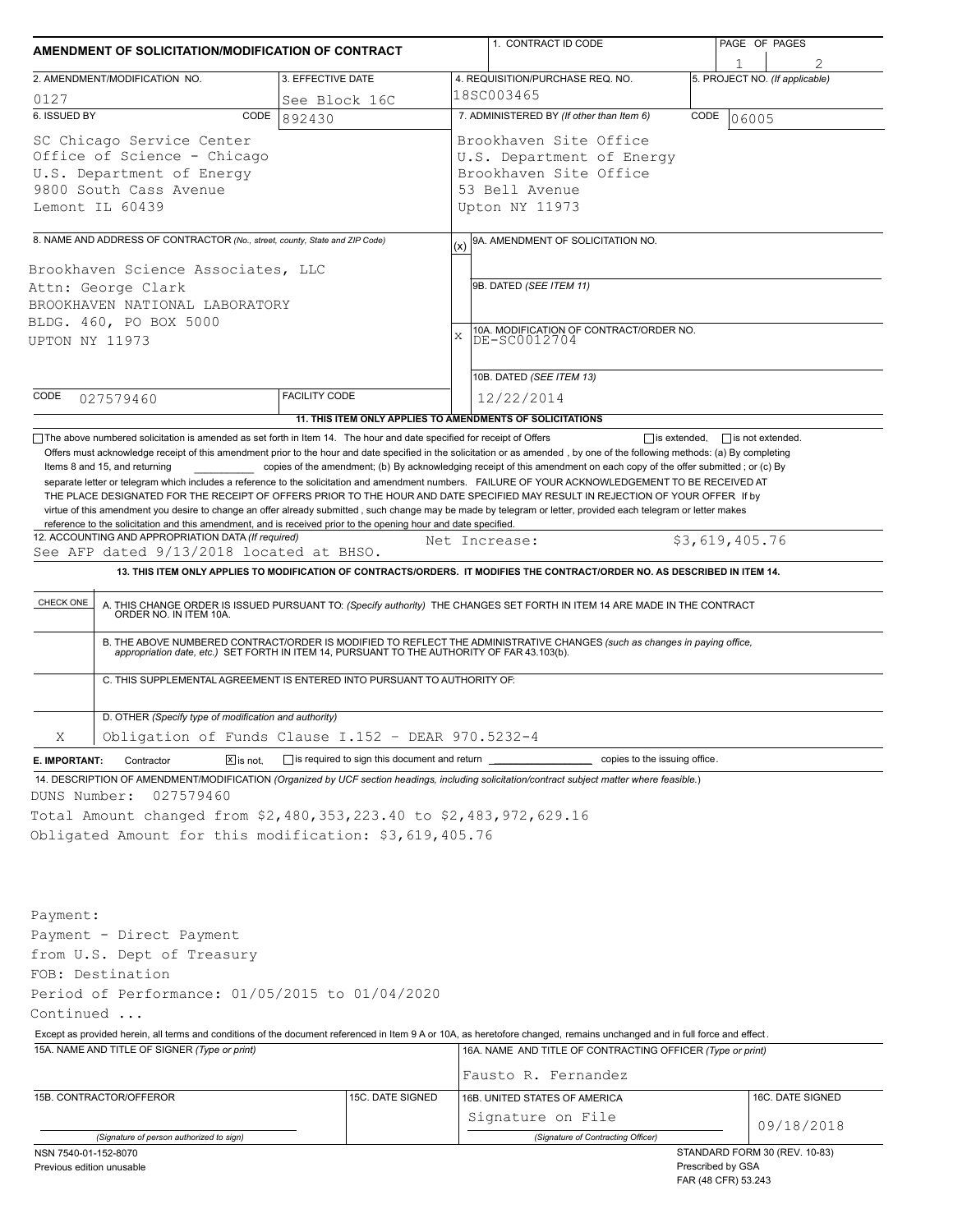| AMENDMENT OF SOLICITATION/MODIFICATION OF CONTRACT |                                                                                                                                                  |                                                           |                                                            | 1. CONTRACT ID CODE                                                                                                                                                                                                                                                                                                                                                                                                                                                                                                                                                                 |                     | PAGE OF PAGES                  |  |  |  |
|----------------------------------------------------|--------------------------------------------------------------------------------------------------------------------------------------------------|-----------------------------------------------------------|------------------------------------------------------------|-------------------------------------------------------------------------------------------------------------------------------------------------------------------------------------------------------------------------------------------------------------------------------------------------------------------------------------------------------------------------------------------------------------------------------------------------------------------------------------------------------------------------------------------------------------------------------------|---------------------|--------------------------------|--|--|--|
| 2. AMENDMENT/MODIFICATION NO.<br>3. EFFECTIVE DATE |                                                                                                                                                  |                                                           |                                                            | 4. REQUISITION/PURCHASE REQ. NO.                                                                                                                                                                                                                                                                                                                                                                                                                                                                                                                                                    |                     | 5. PROJECT NO. (If applicable) |  |  |  |
| 0127<br>See Block 16C                              |                                                                                                                                                  |                                                           |                                                            | 18SC003465                                                                                                                                                                                                                                                                                                                                                                                                                                                                                                                                                                          |                     |                                |  |  |  |
| 6. ISSUED BY                                       | CODE                                                                                                                                             | 892430                                                    |                                                            | 7. ADMINISTERED BY (If other than Item 6)<br>CODE<br>06005                                                                                                                                                                                                                                                                                                                                                                                                                                                                                                                          |                     |                                |  |  |  |
|                                                    | SC Chicago Service Center                                                                                                                        |                                                           | Brookhaven Site Office                                     |                                                                                                                                                                                                                                                                                                                                                                                                                                                                                                                                                                                     |                     |                                |  |  |  |
|                                                    | Office of Science - Chicago                                                                                                                      |                                                           | U.S. Department of Energy                                  |                                                                                                                                                                                                                                                                                                                                                                                                                                                                                                                                                                                     |                     |                                |  |  |  |
|                                                    | U.S. Department of Energy                                                                                                                        |                                                           | Brookhaven Site Office                                     |                                                                                                                                                                                                                                                                                                                                                                                                                                                                                                                                                                                     |                     |                                |  |  |  |
|                                                    | 9800 South Cass Avenue                                                                                                                           |                                                           |                                                            | 53 Bell Avenue                                                                                                                                                                                                                                                                                                                                                                                                                                                                                                                                                                      |                     |                                |  |  |  |
|                                                    | Lemont IL 60439                                                                                                                                  |                                                           | Upton NY 11973                                             |                                                                                                                                                                                                                                                                                                                                                                                                                                                                                                                                                                                     |                     |                                |  |  |  |
|                                                    |                                                                                                                                                  |                                                           |                                                            |                                                                                                                                                                                                                                                                                                                                                                                                                                                                                                                                                                                     |                     |                                |  |  |  |
|                                                    | 8. NAME AND ADDRESS OF CONTRACTOR (No., street, county, State and ZIP Code)                                                                      |                                                           |                                                            | 9A. AMENDMENT OF SOLICITATION NO.                                                                                                                                                                                                                                                                                                                                                                                                                                                                                                                                                   |                     |                                |  |  |  |
|                                                    | Brookhaven Science Associates, LLC                                                                                                               |                                                           |                                                            |                                                                                                                                                                                                                                                                                                                                                                                                                                                                                                                                                                                     |                     |                                |  |  |  |
|                                                    | Attn: George Clark                                                                                                                               |                                                           | 9B. DATED (SEE ITEM 11)                                    |                                                                                                                                                                                                                                                                                                                                                                                                                                                                                                                                                                                     |                     |                                |  |  |  |
|                                                    | BROOKHAVEN NATIONAL LABORATORY                                                                                                                   |                                                           |                                                            |                                                                                                                                                                                                                                                                                                                                                                                                                                                                                                                                                                                     |                     |                                |  |  |  |
|                                                    | BLDG. 460, PO BOX 5000                                                                                                                           |                                                           | 10A. MODIFICATION OF CONTRACT/ORDER NO.                    |                                                                                                                                                                                                                                                                                                                                                                                                                                                                                                                                                                                     |                     |                                |  |  |  |
| UPTON NY 11973                                     |                                                                                                                                                  |                                                           | $\mathbf x$<br>DE-SC0012704                                |                                                                                                                                                                                                                                                                                                                                                                                                                                                                                                                                                                                     |                     |                                |  |  |  |
|                                                    |                                                                                                                                                  |                                                           |                                                            |                                                                                                                                                                                                                                                                                                                                                                                                                                                                                                                                                                                     |                     |                                |  |  |  |
|                                                    |                                                                                                                                                  |                                                           |                                                            | 10B. DATED (SEE ITEM 13)                                                                                                                                                                                                                                                                                                                                                                                                                                                                                                                                                            |                     |                                |  |  |  |
| CODE                                               | 027579460                                                                                                                                        | <b>FACILITY CODE</b>                                      |                                                            | 12/22/2014                                                                                                                                                                                                                                                                                                                                                                                                                                                                                                                                                                          |                     |                                |  |  |  |
|                                                    |                                                                                                                                                  | 11. THIS ITEM ONLY APPLIES TO AMENDMENTS OF SOLICITATIONS |                                                            |                                                                                                                                                                                                                                                                                                                                                                                                                                                                                                                                                                                     |                     |                                |  |  |  |
|                                                    | Items 8 and 15, and returning<br>reference to the solicitation and this amendment, and is received prior to the opening hour and date specified. |                                                           |                                                            | copies of the amendment; (b) By acknowledging receipt of this amendment on each copy of the offer submitted; or (c) By<br>separate letter or telegram which includes a reference to the solicitation and amendment numbers. FAILURE OF YOUR ACKNOWLEDGEMENT TO BE RECEIVED AT<br>THE PLACE DESIGNATED FOR THE RECEIPT OF OFFERS PRIOR TO THE HOUR AND DATE SPECIFIED MAY RESULT IN REJECTION OF YOUR OFFER If by<br>virtue of this amendment you desire to change an offer already submitted, such change may be made by telegram or letter, provided each telegram or letter makes |                     |                                |  |  |  |
|                                                    | 12. ACCOUNTING AND APPROPRIATION DATA (If required)                                                                                              |                                                           |                                                            | Net Increase:                                                                                                                                                                                                                                                                                                                                                                                                                                                                                                                                                                       |                     | \$3,619,405.76                 |  |  |  |
|                                                    | See AFP dated 9/13/2018 located at BHSO.                                                                                                         |                                                           |                                                            |                                                                                                                                                                                                                                                                                                                                                                                                                                                                                                                                                                                     |                     |                                |  |  |  |
|                                                    |                                                                                                                                                  |                                                           |                                                            | 13. THIS ITEM ONLY APPLIES TO MODIFICATION OF CONTRACTS/ORDERS. IT MODIFIES THE CONTRACT/ORDER NO. AS DESCRIBED IN ITEM 14.                                                                                                                                                                                                                                                                                                                                                                                                                                                         |                     |                                |  |  |  |
| CHECK ONE                                          |                                                                                                                                                  |                                                           |                                                            | A. THIS CHANGE ORDER IS ISSUED PURSUANT TO: (Specify authority) THE CHANGES SET FORTH IN ITEM 14 ARE MADE IN THE CONTRACT ORDER NO. IN ITEM 10A.                                                                                                                                                                                                                                                                                                                                                                                                                                    |                     |                                |  |  |  |
|                                                    |                                                                                                                                                  |                                                           |                                                            | B. THE ABOVE NUMBERED CONTRACT/ORDER IS MODIFIED TO REFLECT THE ADMINISTRATIVE CHANGES (such as changes in paying office,<br>appropriation date, etc.) SET FORTH IN ITEM 14, PURSUANT TO THE AUTHORITY OF FAR 43.103(b).                                                                                                                                                                                                                                                                                                                                                            |                     |                                |  |  |  |
|                                                    |                                                                                                                                                  |                                                           |                                                            |                                                                                                                                                                                                                                                                                                                                                                                                                                                                                                                                                                                     |                     |                                |  |  |  |
|                                                    | C. THIS SUPPLEMENTAL AGREEMENT IS ENTERED INTO PURSUANT TO AUTHORITY OF:                                                                         |                                                           |                                                            |                                                                                                                                                                                                                                                                                                                                                                                                                                                                                                                                                                                     |                     |                                |  |  |  |
|                                                    | D. OTHER (Specify type of modification and authority)                                                                                            |                                                           |                                                            |                                                                                                                                                                                                                                                                                                                                                                                                                                                                                                                                                                                     |                     |                                |  |  |  |
| Χ                                                  | Obligation of Funds Clause I.152 - DEAR 970.5232-4                                                                                               |                                                           |                                                            |                                                                                                                                                                                                                                                                                                                                                                                                                                                                                                                                                                                     |                     |                                |  |  |  |
| E. IMPORTANT:                                      | $\boxed{\mathsf{X}}$ is not.<br>Contractor                                                                                                       | $\Box$ is required to sign this document and return       |                                                            | copies to the issuing office.                                                                                                                                                                                                                                                                                                                                                                                                                                                                                                                                                       |                     |                                |  |  |  |
|                                                    |                                                                                                                                                  |                                                           |                                                            | 14. DESCRIPTION OF AMENDMENT/MODIFICATION (Organized by UCF section headings, including solicitation/contract subject matter where feasible.)                                                                                                                                                                                                                                                                                                                                                                                                                                       |                     |                                |  |  |  |
| DUNS Number:                                       | 027579460                                                                                                                                        |                                                           |                                                            |                                                                                                                                                                                                                                                                                                                                                                                                                                                                                                                                                                                     |                     |                                |  |  |  |
|                                                    | Total Amount changed from \$2,480,353,223.40 to \$2,483,972,629.16                                                                               |                                                           |                                                            |                                                                                                                                                                                                                                                                                                                                                                                                                                                                                                                                                                                     |                     |                                |  |  |  |
|                                                    | Obligated Amount for this modification: \$3,619,405.76                                                                                           |                                                           |                                                            |                                                                                                                                                                                                                                                                                                                                                                                                                                                                                                                                                                                     |                     |                                |  |  |  |
|                                                    |                                                                                                                                                  |                                                           |                                                            |                                                                                                                                                                                                                                                                                                                                                                                                                                                                                                                                                                                     |                     |                                |  |  |  |
|                                                    |                                                                                                                                                  |                                                           |                                                            |                                                                                                                                                                                                                                                                                                                                                                                                                                                                                                                                                                                     |                     |                                |  |  |  |
|                                                    |                                                                                                                                                  |                                                           |                                                            |                                                                                                                                                                                                                                                                                                                                                                                                                                                                                                                                                                                     |                     |                                |  |  |  |
| Payment:                                           |                                                                                                                                                  |                                                           |                                                            |                                                                                                                                                                                                                                                                                                                                                                                                                                                                                                                                                                                     |                     |                                |  |  |  |
|                                                    | Payment - Direct Payment                                                                                                                         |                                                           |                                                            |                                                                                                                                                                                                                                                                                                                                                                                                                                                                                                                                                                                     |                     |                                |  |  |  |
|                                                    |                                                                                                                                                  |                                                           |                                                            |                                                                                                                                                                                                                                                                                                                                                                                                                                                                                                                                                                                     |                     |                                |  |  |  |
|                                                    | from U.S. Dept of Treasury                                                                                                                       |                                                           |                                                            |                                                                                                                                                                                                                                                                                                                                                                                                                                                                                                                                                                                     |                     |                                |  |  |  |
|                                                    | FOB: Destination                                                                                                                                 |                                                           |                                                            |                                                                                                                                                                                                                                                                                                                                                                                                                                                                                                                                                                                     |                     |                                |  |  |  |
|                                                    | Period of Performance: 01/05/2015 to 01/04/2020                                                                                                  |                                                           |                                                            |                                                                                                                                                                                                                                                                                                                                                                                                                                                                                                                                                                                     |                     |                                |  |  |  |
| Continued                                          |                                                                                                                                                  |                                                           |                                                            |                                                                                                                                                                                                                                                                                                                                                                                                                                                                                                                                                                                     |                     |                                |  |  |  |
|                                                    |                                                                                                                                                  |                                                           |                                                            | Except as provided herein, all terms and conditions of the document referenced in Item 9 A or 10A, as heretofore changed, remains unchanged and in full force and effect.                                                                                                                                                                                                                                                                                                                                                                                                           |                     |                                |  |  |  |
|                                                    | 15A. NAME AND TITLE OF SIGNER (Type or print)                                                                                                    |                                                           | 16A. NAME AND TITLE OF CONTRACTING OFFICER (Type or print) |                                                                                                                                                                                                                                                                                                                                                                                                                                                                                                                                                                                     |                     |                                |  |  |  |
|                                                    |                                                                                                                                                  |                                                           |                                                            | Fausto R. Fernandez                                                                                                                                                                                                                                                                                                                                                                                                                                                                                                                                                                 |                     |                                |  |  |  |
|                                                    | 15B. CONTRACTOR/OFFEROR                                                                                                                          | 15C. DATE SIGNED                                          |                                                            | 16B. UNITED STATES OF AMERICA                                                                                                                                                                                                                                                                                                                                                                                                                                                                                                                                                       |                     | 16C. DATE SIGNED               |  |  |  |
|                                                    |                                                                                                                                                  |                                                           |                                                            | Signature on File                                                                                                                                                                                                                                                                                                                                                                                                                                                                                                                                                                   |                     |                                |  |  |  |
|                                                    |                                                                                                                                                  |                                                           |                                                            |                                                                                                                                                                                                                                                                                                                                                                                                                                                                                                                                                                                     |                     | 09/18/2018                     |  |  |  |
| NSN 7540-01-152-8070                               | (Signature of person authorized to sign)                                                                                                         |                                                           |                                                            | (Signature of Contracting Officer)                                                                                                                                                                                                                                                                                                                                                                                                                                                                                                                                                  |                     | STANDARD FORM 30 (REV. 10-83)  |  |  |  |
| Previous edition unusable                          |                                                                                                                                                  |                                                           |                                                            |                                                                                                                                                                                                                                                                                                                                                                                                                                                                                                                                                                                     | Prescribed by GSA   |                                |  |  |  |
|                                                    |                                                                                                                                                  |                                                           |                                                            |                                                                                                                                                                                                                                                                                                                                                                                                                                                                                                                                                                                     | FAR (48 CFR) 53.243 |                                |  |  |  |